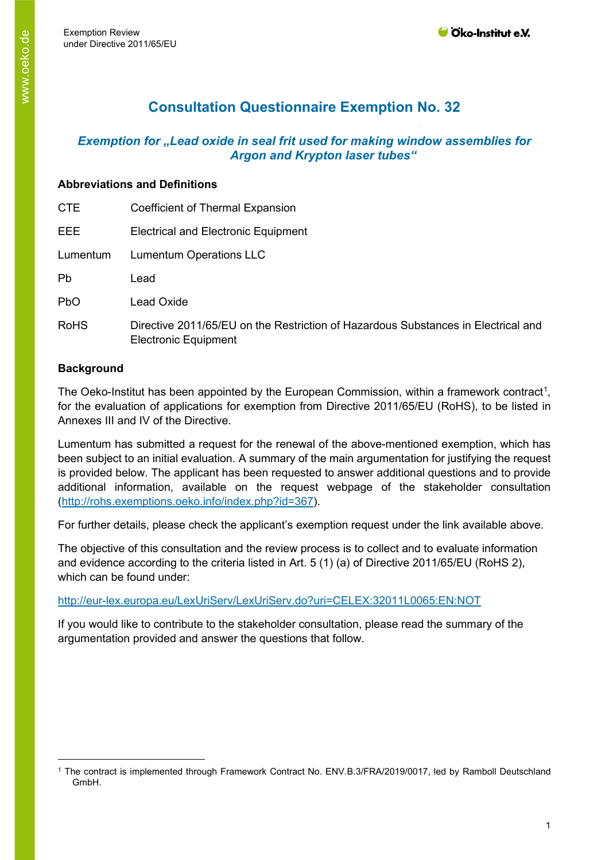# **Consultation Questionnaire Exemption No. 32**

# *Exemption for "Lead oxide in seal frit used for making window assemblies for Argon and Krypton laser tubes"*

# **Abbreviations and Definitions**

| <b>CTE</b>  | Coefficient of Thermal Expansion                                                                                 |
|-------------|------------------------------------------------------------------------------------------------------------------|
| EEE.        | Electrical and Electronic Equipment                                                                              |
| Lumentum    | <b>Lumentum Operations LLC</b>                                                                                   |
| Pb          | Lead                                                                                                             |
| <b>PbO</b>  | Lead Oxide                                                                                                       |
| <b>RoHS</b> | Directive 2011/65/EU on the Restriction of Hazardous Substances in Electrical and<br><b>Electronic Equipment</b> |

# **Background**

The Oeko-Institut has been appointed by the European Commission, within a framework contract<sup>[1](#page-0-0)</sup>, for the evaluation of applications for exemption from Directive 2011/65/EU (RoHS), to be listed in Annexes III and IV of the Directive.

Lumentum has submitted a request for the renewal of the above-mentioned exemption, which has been subject to an initial evaluation. A summary of the main argumentation for justifying the request is provided below. The applicant has been requested to answer additional questions and to provide additional information, available on the request webpage of the stakeholder consultation [\(http://rohs.exemptions.oeko.info/index.php?id=367](http://rohs.exemptions.oeko.info/index.php?id=367)).

For further details, please check the applicant's exemption request under the link available above.

The objective of this consultation and the review process is to collect and to evaluate information and evidence according to the criteria listed in Art. 5 (1) (a) of Directive 2011/65/EU (RoHS 2), which can be found under:

# <http://eur-lex.europa.eu/LexUriServ/LexUriServ.do?uri=CELEX:32011L0065:EN:NOT>

If you would like to contribute to the stakeholder consultation, please read the summary of the argumentation provided and answer the questions that follow.

<span id="page-0-0"></span><sup>1</sup> The contract is implemented through Framework Contract No. ENV.B.3/FRA/2019/0017, led by Ramboll Deutschland GmbH.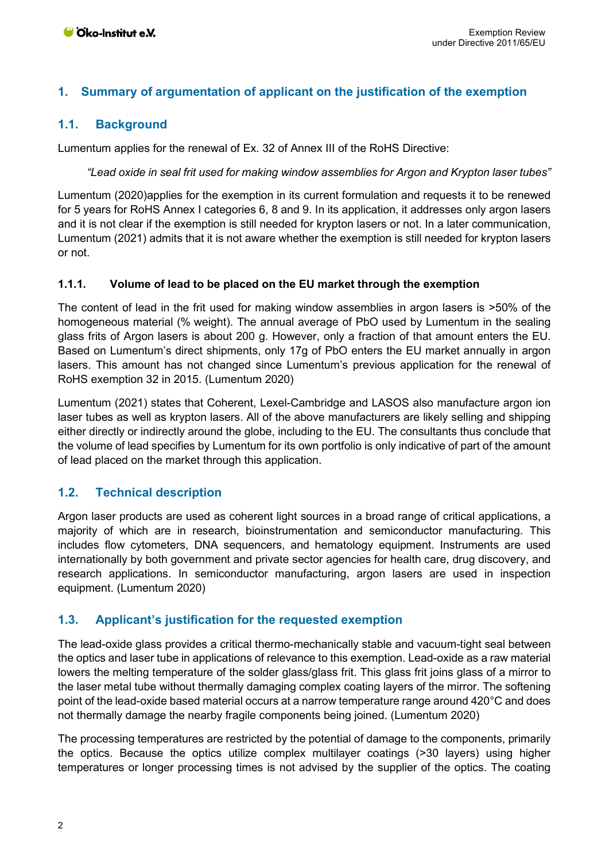## **1. Summary of argumentation of applicant on the justification of the exemption**

#### **1.1. Background**

Lumentum applies for the renewal of Ex. 32 of Annex III of the RoHS Directive:

*"Lead oxide in seal frit used for making window assemblies for Argon and Krypton laser tubes"*

Lumentum (2020)applies for the exemption in its current formulation and requests it to be renewed for 5 years for RoHS Annex I categories 6, 8 and 9. In its application, it addresses only argon lasers and it is not clear if the exemption is still needed for krypton lasers or not. In a later communication, Lumentum (2021) admits that it is not aware whether the exemption is still needed for krypton lasers or not.

#### **1.1.1. Volume of lead to be placed on the EU market through the exemption**

The content of lead in the frit used for making window assemblies in argon lasers is >50% of the homogeneous material (% weight). The annual average of PbO used by Lumentum in the sealing glass frits of Argon lasers is about 200 g. However, only a fraction of that amount enters the EU. Based on Lumentum's direct shipments, only 17g of PbO enters the EU market annually in argon lasers. This amount has not changed since Lumentum's previous application for the renewal of RoHS exemption 32 in 2015. (Lumentum 2020)

Lumentum (2021) states that Coherent, Lexel-Cambridge and LASOS also manufacture argon ion laser tubes as well as krypton lasers. All of the above manufacturers are likely selling and shipping either directly or indirectly around the globe, including to the EU. The consultants thus conclude that the volume of lead specifies by Lumentum for its own portfolio is only indicative of part of the amount of lead placed on the market through this application.

#### **1.2. Technical description**

Argon laser products are used as coherent light sources in a broad range of critical applications, a majority of which are in research, bioinstrumentation and semiconductor manufacturing. This includes flow cytometers, DNA sequencers, and hematology equipment. Instruments are used internationally by both government and private sector agencies for health care, drug discovery, and research applications. In semiconductor manufacturing, argon lasers are used in inspection equipment. (Lumentum 2020)

#### **1.3. Applicant's justification for the requested exemption**

The lead-oxide glass provides a critical thermo-mechanically stable and vacuum-tight seal between the optics and laser tube in applications of relevance to this exemption. Lead-oxide as a raw material lowers the melting temperature of the solder glass/glass frit. This glass frit joins glass of a mirror to the laser metal tube without thermally damaging complex coating layers of the mirror. The softening point of the lead-oxide based material occurs at a narrow temperature range around 420°C and does not thermally damage the nearby fragile components being joined. (Lumentum 2020)

The processing temperatures are restricted by the potential of damage to the components, primarily the optics. Because the optics utilize complex multilayer coatings (>30 layers) using higher temperatures or longer processing times is not advised by the supplier of the optics. The coating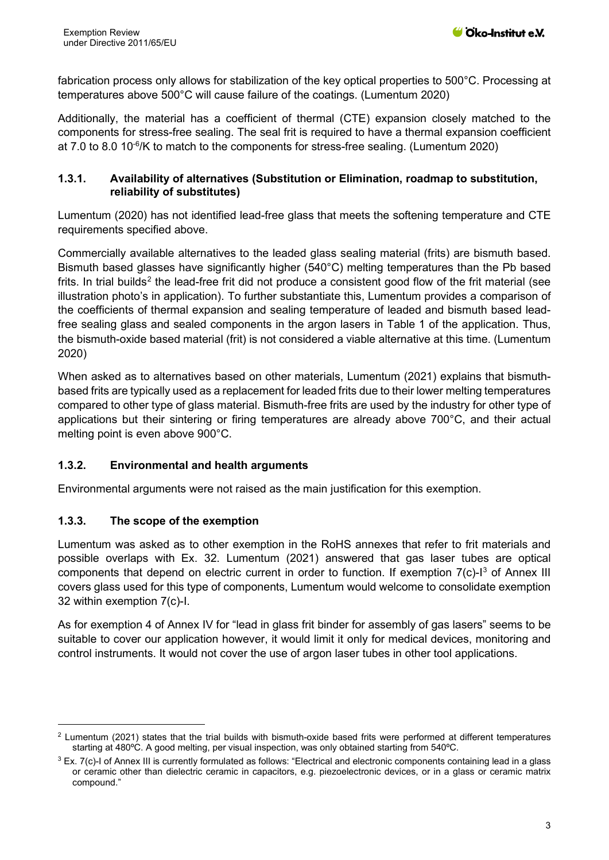fabrication process only allows for stabilization of the key optical properties to 500°C. Processing at temperatures above 500°C will cause failure of the coatings. (Lumentum 2020)

Additionally, the material has a coefficient of thermal (CTE) expansion closely matched to the components for stress-free sealing. The seal frit is required to have a thermal expansion coefficient at 7.0 to 8.0  $10^{-6}$ /K to match to the components for stress-free sealing. (Lumentum 2020)

#### **1.3.1. Availability of alternatives (Substitution or Elimination, roadmap to substitution, reliability of substitutes)**

Lumentum (2020) has not identified lead-free glass that meets the softening temperature and CTE requirements specified above.

Commercially available alternatives to the leaded glass sealing material (frits) are bismuth based. Bismuth based glasses have significantly higher (540°C) melting temperatures than the Pb based frits. In trial builds<sup>[2](#page-2-0)</sup> the lead-free frit did not produce a consistent good flow of the frit material (see illustration photo's in application). To further substantiate this, Lumentum provides a comparison of the coefficients of thermal expansion and sealing temperature of leaded and bismuth based leadfree sealing glass and sealed components in the argon lasers in Table 1 of the application. Thus, the bismuth-oxide based material (frit) is not considered a viable alternative at this time. (Lumentum 2020)

When asked as to alternatives based on other materials, Lumentum (2021) explains that bismuthbased frits are typically used as a replacement for leaded frits due to their lower melting temperatures compared to other type of glass material. Bismuth-free frits are used by the industry for other type of applications but their sintering or firing temperatures are already above 700°C, and their actual melting point is even above 900°C.

## **1.3.2. Environmental and health arguments**

Environmental arguments were not raised as the main justification for this exemption.

#### **1.3.3. The scope of the exemption**

Lumentum was asked as to other exemption in the RoHS annexes that refer to frit materials and possible overlaps with Ex. 32. Lumentum (2021) answered that gas laser tubes are optical components that depend on electric current in order to function. If exemption  $7(c)$ - $1<sup>3</sup>$  $1<sup>3</sup>$  $1<sup>3</sup>$  of Annex III covers glass used for this type of components, Lumentum would welcome to consolidate exemption 32 within exemption 7(c)-I.

As for exemption 4 of Annex IV for "lead in glass frit binder for assembly of gas lasers" seems to be suitable to cover our application however, it would limit it only for medical devices, monitoring and control instruments. It would not cover the use of argon laser tubes in other tool applications.

<span id="page-2-0"></span> $2$  Lumentum (2021) states that the trial builds with bismuth-oxide based frits were performed at different temperatures starting at 480ºC. A good melting, per visual inspection, was only obtained starting from 540ºC.

<span id="page-2-1"></span> $3$  Ex. 7(c)-I of Annex III is currently formulated as follows: "Electrical and electronic components containing lead in a glass or ceramic other than dielectric ceramic in capacitors, e.g. piezoelectronic devices, or in a glass or ceramic matrix compound."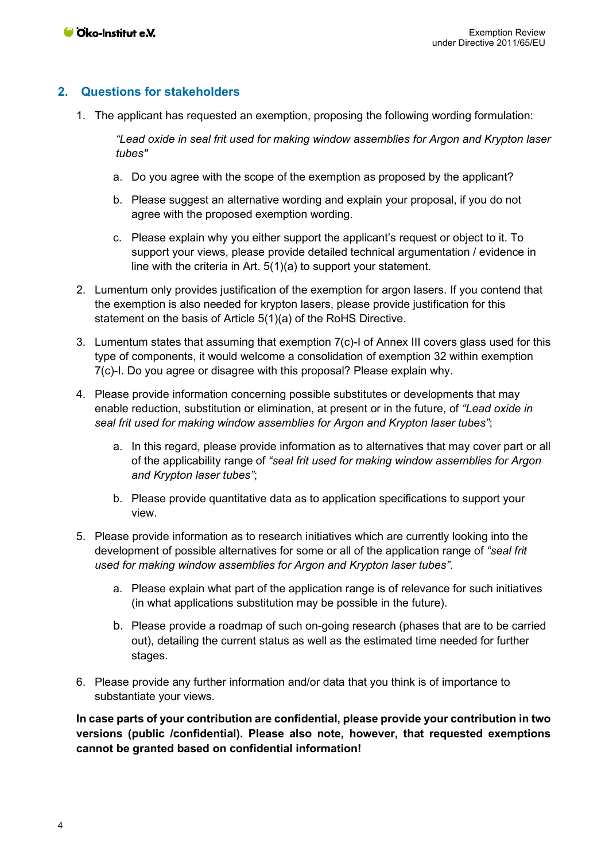## **2. Questions for stakeholders**

1. The applicant has requested an exemption, proposing the following wording formulation:

*"Lead oxide in seal frit used for making window assemblies for Argon and Krypton laser tubes"* 

- a. Do you agree with the scope of the exemption as proposed by the applicant?
- b. Please suggest an alternative wording and explain your proposal, if you do not agree with the proposed exemption wording.
- c. Please explain why you either support the applicant's request or object to it. To support your views, please provide detailed technical argumentation / evidence in line with the criteria in Art. 5(1)(a) to support your statement.
- 2. Lumentum only provides justification of the exemption for argon lasers. If you contend that the exemption is also needed for krypton lasers, please provide justification for this statement on the basis of Article 5(1)(a) of the RoHS Directive.
- 3. Lumentum states that assuming that exemption 7(c)-I of Annex III covers glass used for this type of components, it would welcome a consolidation of exemption 32 within exemption 7(c)-I. Do you agree or disagree with this proposal? Please explain why.
- 4. Please provide information concerning possible substitutes or developments that may enable reduction, substitution or elimination, at present or in the future, of *"Lead oxide in seal frit used for making window assemblies for Argon and Krypton laser tubes"*;
	- a. In this regard, please provide information as to alternatives that may cover part or all of the applicability range of *"seal frit used for making window assemblies for Argon and Krypton laser tubes"*;
	- b. Please provide quantitative data as to application specifications to support your view.
- 5. Please provide information as to research initiatives which are currently looking into the development of possible alternatives for some or all of the application range of *"seal frit used for making window assemblies for Argon and Krypton laser tubes"*.
	- a. Please explain what part of the application range is of relevance for such initiatives (in what applications substitution may be possible in the future).
	- b. Please provide a roadmap of such on-going research (phases that are to be carried out), detailing the current status as well as the estimated time needed for further stages.
- 6. Please provide any further information and/or data that you think is of importance to substantiate your views.

**In case parts of your contribution are confidential, please provide your contribution in two versions (public /confidential). Please also note, however, that requested exemptions cannot be granted based on confidential information!**